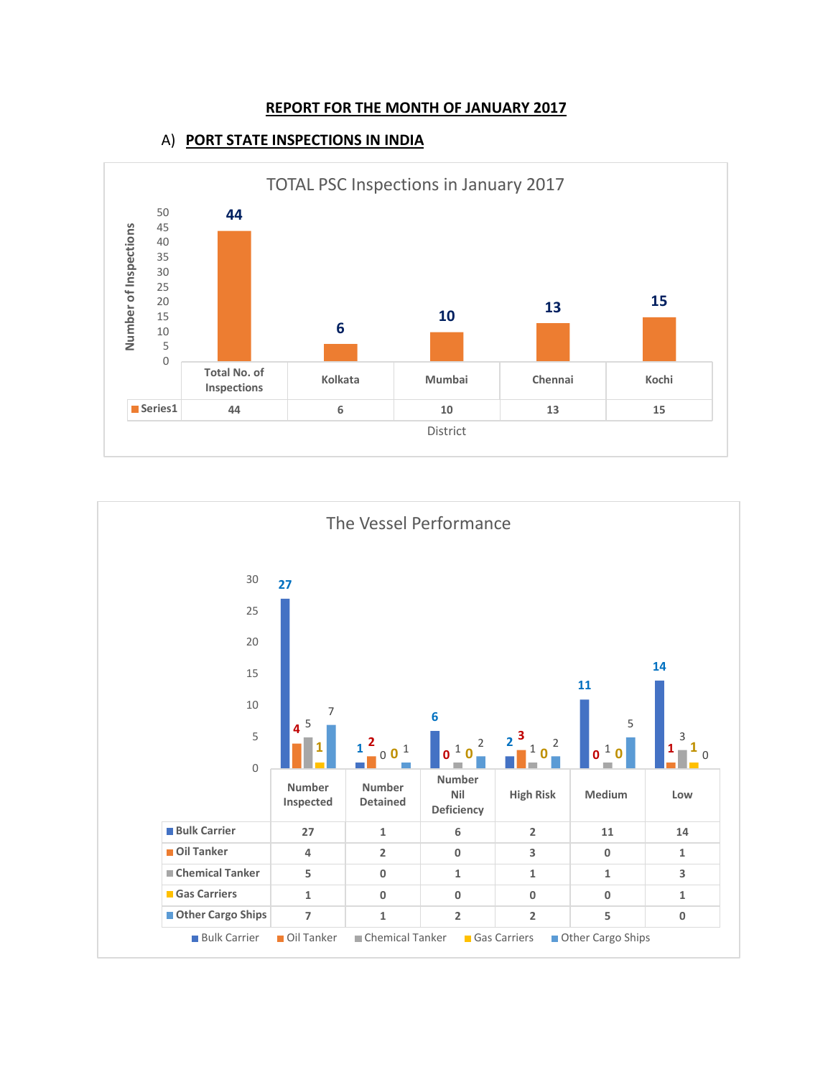#### **REPORT FOR THE MONTH OF JANUARY 2017**

### A) **PORT STATE INSPECTIONS IN INDIA**



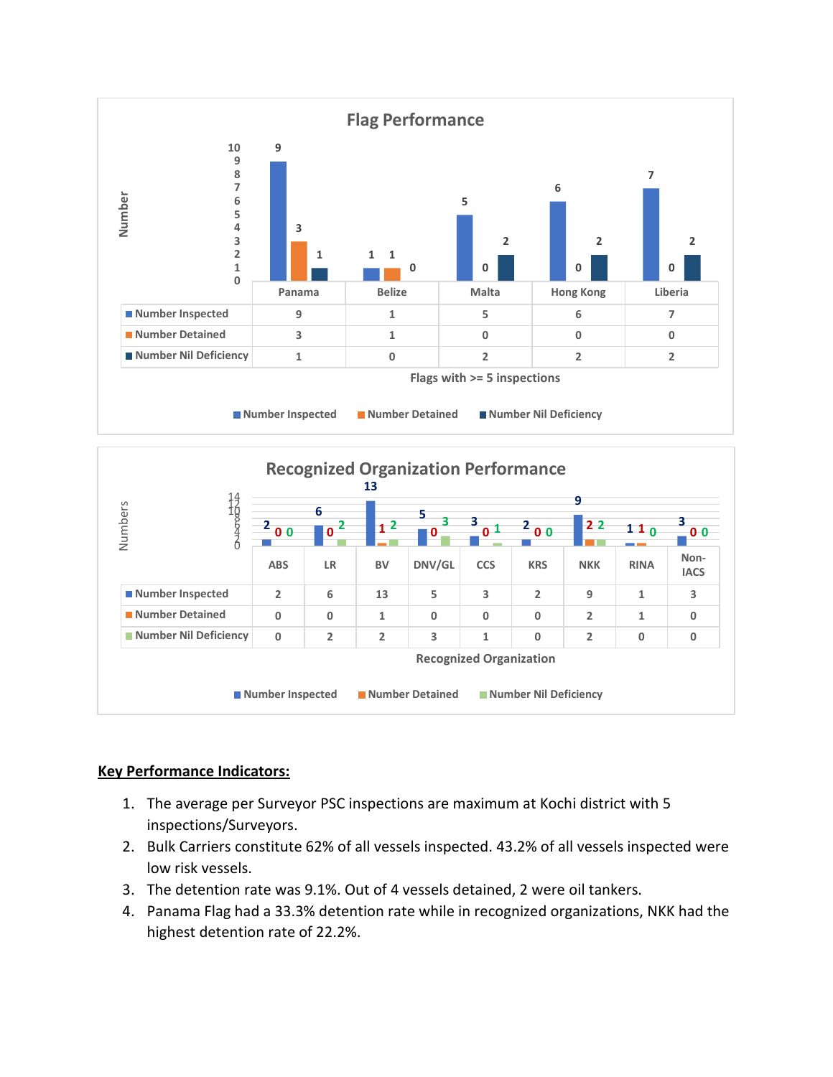

## **Key Performance Indicators:**

- 1. The average per Surveyor PSC inspections are maximum at Kochi district with 5 inspections/Surveyors.
- 2. Bulk Carriers constitute 62% of all vessels inspected. 43.2% of all vessels inspected were low risk vessels.
- 3. The detention rate was 9.1%. Out of 4 vessels detained, 2 were oil tankers.
- 4. Panama Flag had a 33.3% detention rate while in recognized organizations, NKK had the highest detention rate of 22.2%.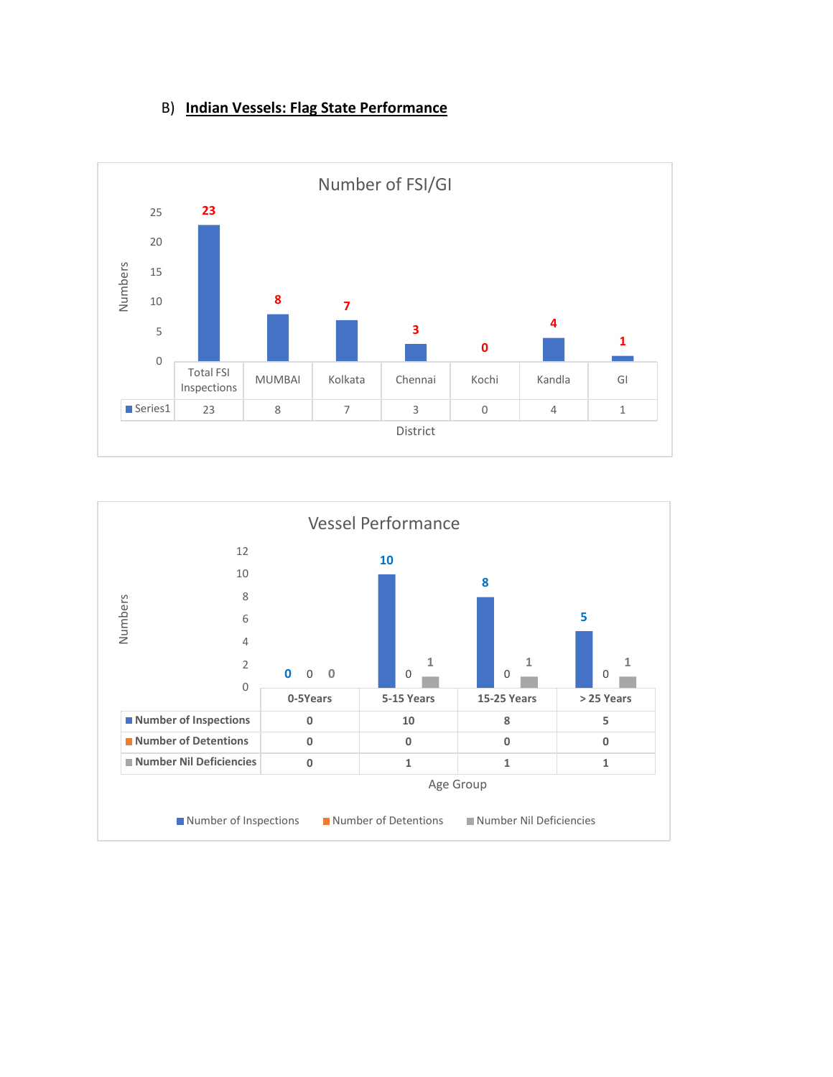# B) **Indian Vessels: Flag State Performance**



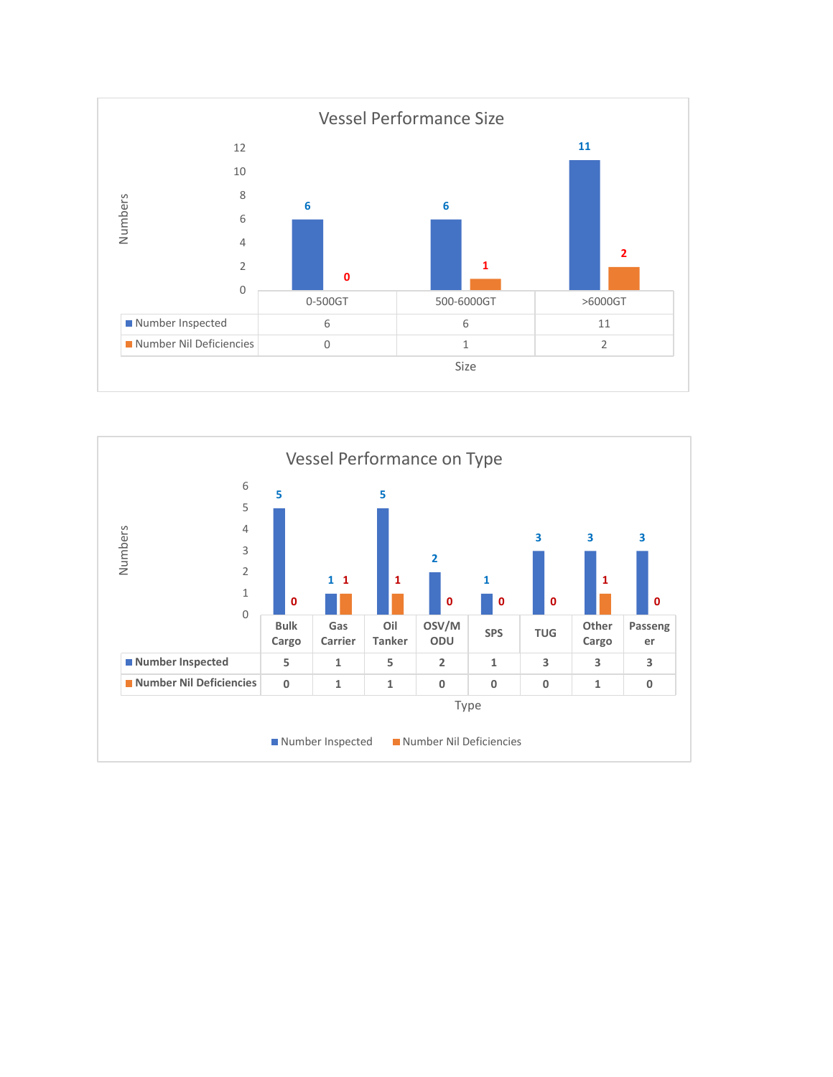

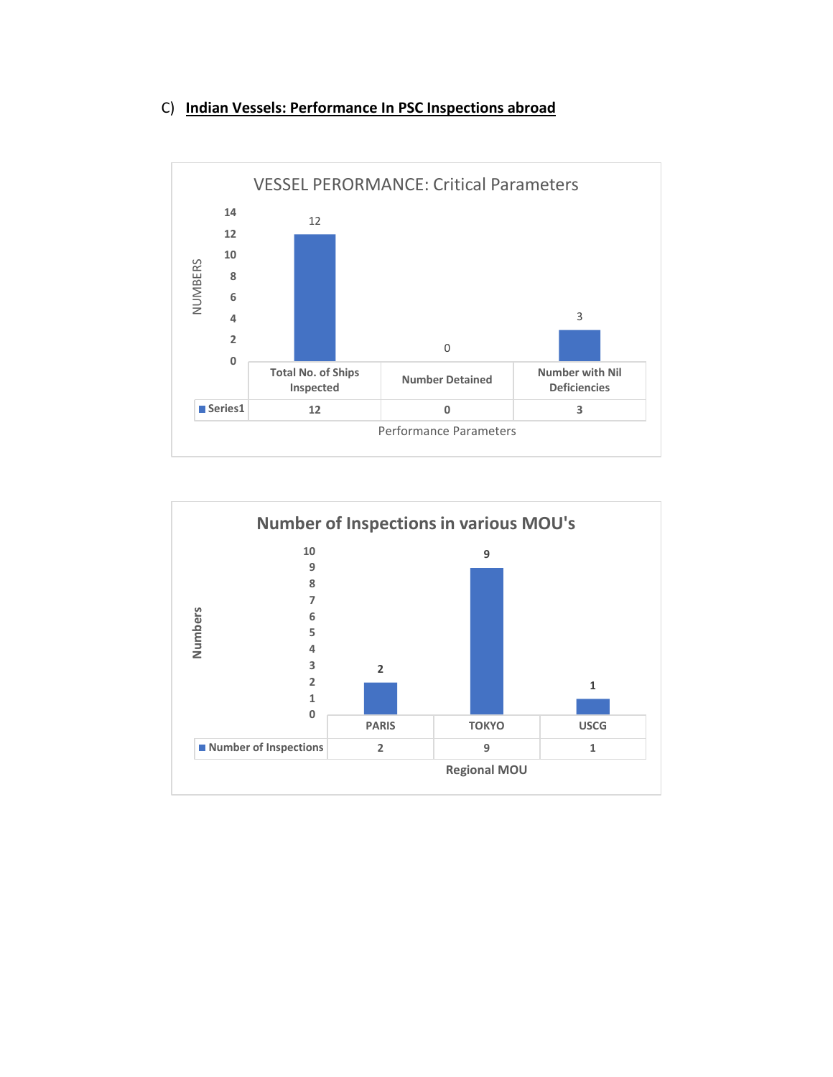## C) **Indian Vessels: Performance In PSC Inspections abroad**



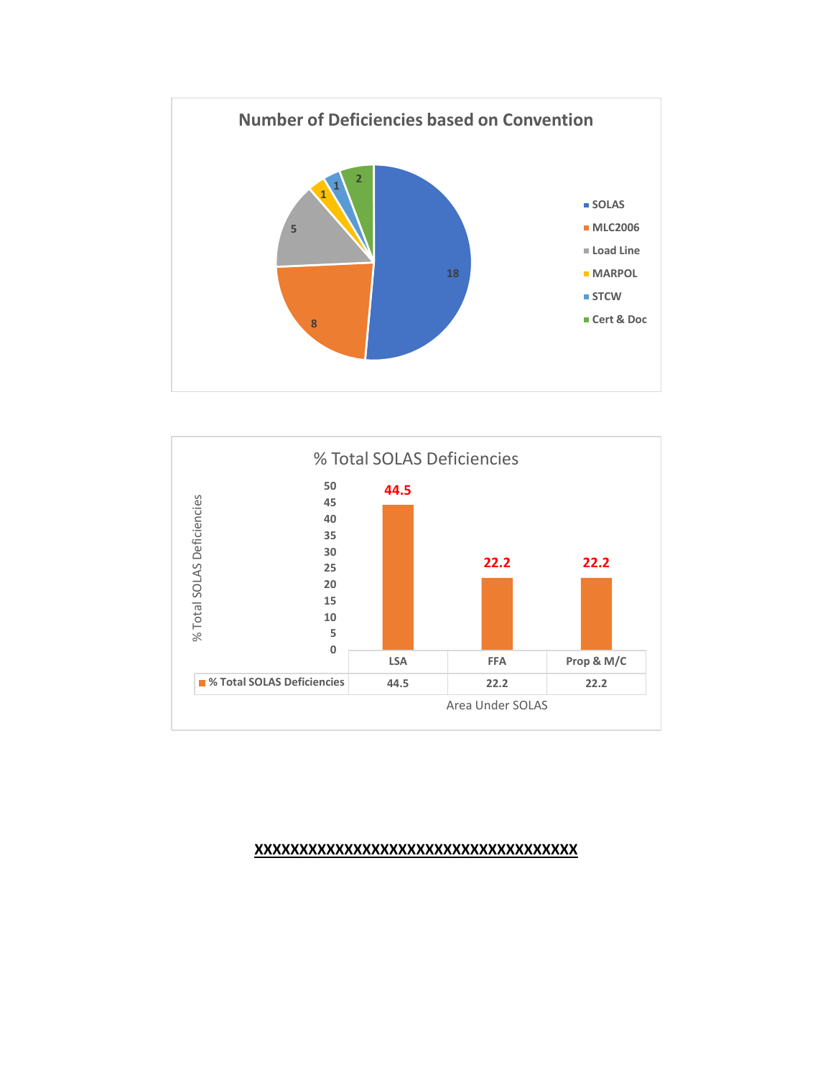



#### **XXXXXXXXXXXXXXXXXXXXXXXXXXXXXXXXXXXX**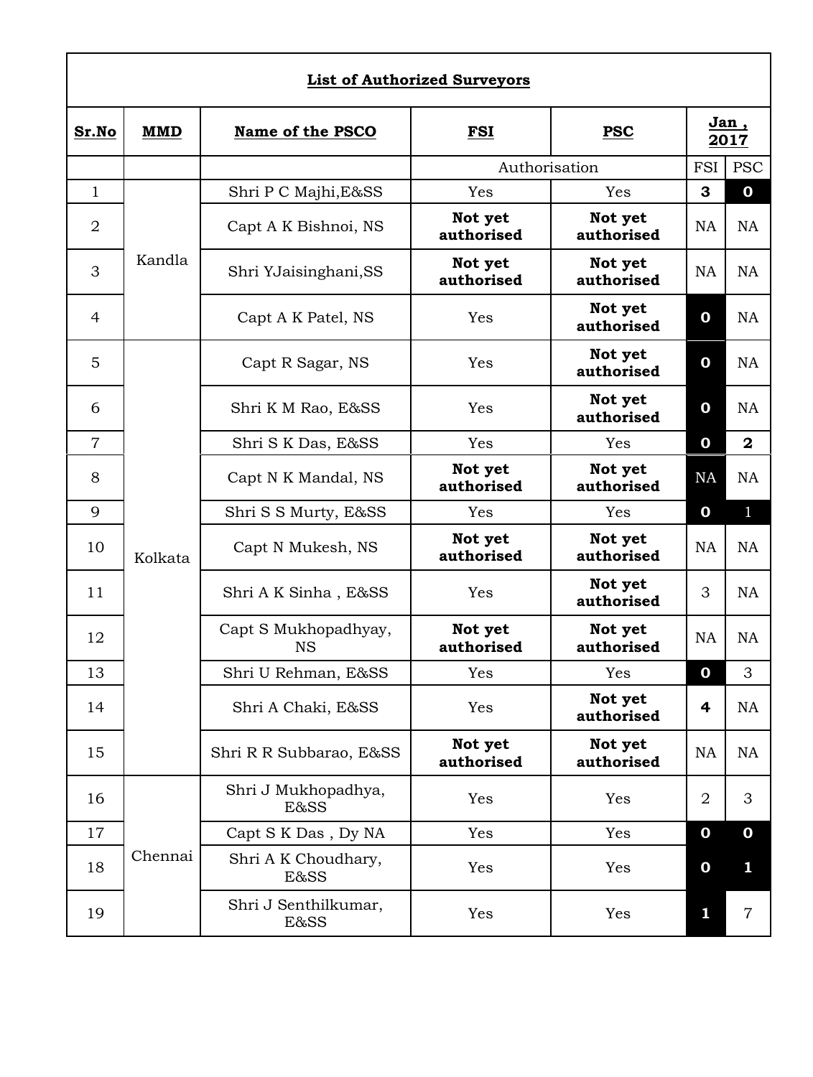| <b>List of Authorized Surveyors</b> |         |                                   |                       |                       |                  |                |  |
|-------------------------------------|---------|-----------------------------------|-----------------------|-----------------------|------------------|----------------|--|
| Sr.No                               | MMD     | Name of the PSCO                  | <b>FSI</b>            | <b>PSC</b>            | Jan,<br>2017     |                |  |
|                                     |         |                                   | Authorisation         |                       | FSI              | <b>PSC</b>     |  |
| $\mathbf{1}$                        | Kandla  | Shri P C Majhi, E&SS              | Yes                   | Yes                   | 3                | 0              |  |
| $\overline{2}$                      |         | Capt A K Bishnoi, NS              | Not yet<br>authorised | Not yet<br>authorised | NA               | <b>NA</b>      |  |
| 3                                   |         | Shri YJaisinghani, SS             | Not yet<br>authorised | Not yet<br>authorised | <b>NA</b>        | <b>NA</b>      |  |
| $\overline{4}$                      |         | Capt A K Patel, NS                | Yes                   | Not yet<br>authorised | 0                | <b>NA</b>      |  |
| 5                                   |         | Capt R Sagar, NS                  | Yes                   | Not yet<br>authorised | 0                | <b>NA</b>      |  |
| 6                                   |         | Shri K M Rao, E&SS                | Yes                   | Not yet<br>authorised | 0                | <b>NA</b>      |  |
| $\overline{7}$                      |         | Shri S K Das, E&SS                | Yes                   | Yes                   | $\mathbf 0$      | $\mathbf{2}$   |  |
| 8                                   |         | Capt N K Mandal, NS               | Not yet<br>authorised | Not yet<br>authorised | <b>NA</b>        | <b>NA</b>      |  |
| 9                                   |         | Shri S S Murty, E&SS              | Yes                   | Yes                   | 0                | $\mathbf{1}$   |  |
| 10                                  | Kolkata | Capt N Mukesh, NS                 | Not yet<br>authorised | Not yet<br>authorised | <b>NA</b>        | <b>NA</b>      |  |
| 11                                  |         | Shri A K Sinha, E&SS              | Yes                   | Not yet<br>authorised | 3                | <b>NA</b>      |  |
| 12                                  |         | Capt S Mukhopadhyay,<br><b>NS</b> | Not yet<br>authorised | Not yet<br>authorised | <b>NA</b>        | <b>NA</b>      |  |
| 13                                  |         | Shri U Rehman, E&SS               | Yes                   | Yes                   | $\boldsymbol{0}$ | 3              |  |
| 14                                  |         | Shri A Chaki, E&SS                | Yes                   | Not yet<br>authorised | 4                | <b>NA</b>      |  |
| 15                                  |         | Shri R R Subbarao, E&SS           | Not yet<br>authorised | Not yet<br>authorised | <b>NA</b>        | NA             |  |
| 16                                  | Chennai | Shri J Mukhopadhya,<br>E&SS       | Yes                   | Yes                   | 2                | 3              |  |
| 17                                  |         | Capt S K Das, Dy NA               | Yes                   | Yes                   | $\boldsymbol{0}$ | $\mathbf 0$    |  |
| 18                                  |         | Shri A K Choudhary,<br>E&SS       | Yes                   | Yes                   | $\boldsymbol{0}$ | 1              |  |
| 19                                  |         | Shri J Senthilkumar,<br>E&SS      | Yes                   | Yes                   | 1                | $\overline{7}$ |  |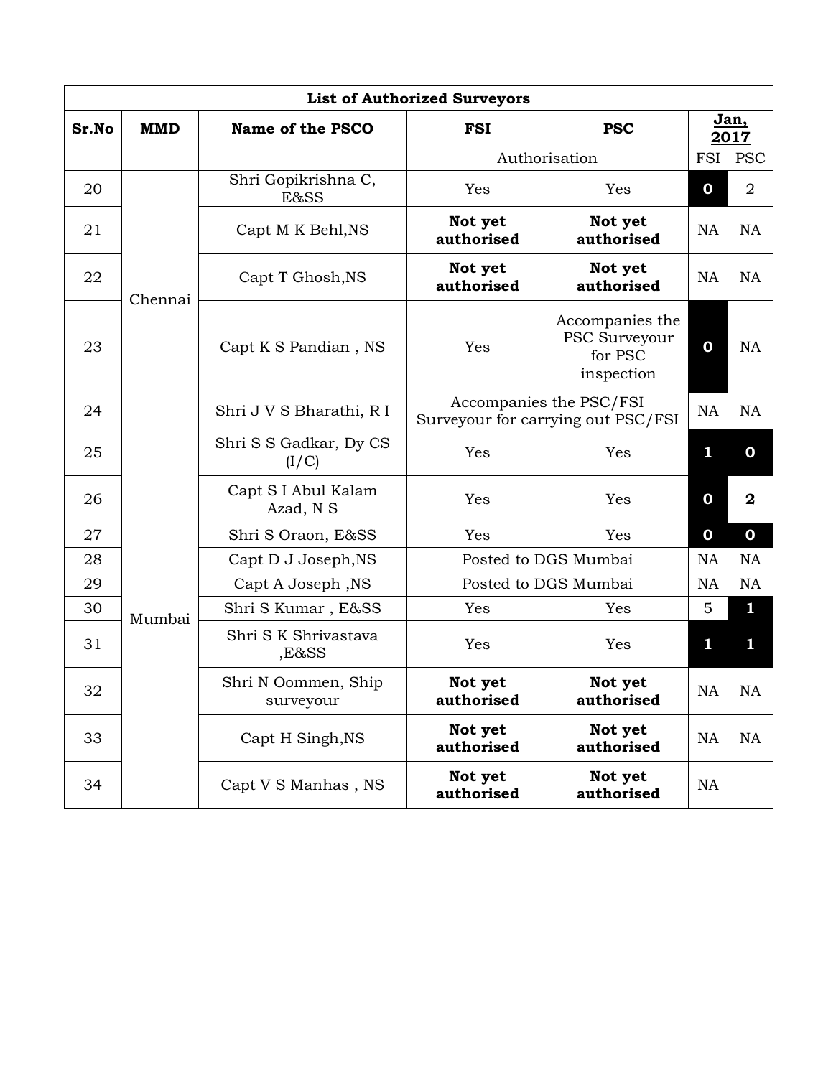| <b>List of Authorized Surveyors</b> |            |                                   |                                                               |                                                           |              |                |  |  |
|-------------------------------------|------------|-----------------------------------|---------------------------------------------------------------|-----------------------------------------------------------|--------------|----------------|--|--|
| Sr.No                               | <b>MMD</b> | Name of the PSCO                  | <b>PSC</b><br>FSI                                             |                                                           | Jan,<br>2017 |                |  |  |
|                                     |            | Authorisation                     |                                                               |                                                           | <b>FSI</b>   | <b>PSC</b>     |  |  |
| 20                                  | Chennai    | Shri Gopikrishna C,<br>E&SS       | Yes                                                           | Yes                                                       | 0            | $\overline{2}$ |  |  |
| 21                                  |            | Capt M K Behl, NS                 | Not yet<br>authorised                                         | Not yet<br>authorised                                     | <b>NA</b>    | <b>NA</b>      |  |  |
| 22                                  |            | Capt T Ghosh, NS                  | Not yet<br>authorised                                         | Not yet<br>authorised                                     | <b>NA</b>    | <b>NA</b>      |  |  |
| 23                                  |            | Capt K S Pandian, NS              | Yes                                                           | Accompanies the<br>PSC Surveyour<br>for PSC<br>inspection | $\mathbf 0$  | <b>NA</b>      |  |  |
| 24                                  |            | Shri J V S Bharathi, R I          | Accompanies the PSC/FSI<br>Surveyour for carrying out PSC/FSI |                                                           | <b>NA</b>    | NA             |  |  |
| 25                                  | Mumbai     | Shri S S Gadkar, Dy CS<br>(I/C)   | Yes                                                           | Yes                                                       | 1            | $\mathbf 0$    |  |  |
| 26                                  |            | Capt S I Abul Kalam<br>Azad, N S  | Yes                                                           | Yes                                                       | $\mathbf 0$  | $\overline{2}$ |  |  |
| 27                                  |            | Shri S Oraon, E&SS                | Yes                                                           | Yes                                                       | $\mathbf 0$  | $\mathbf 0$    |  |  |
| 28                                  |            | Capt D J Joseph, NS               | Posted to DGS Mumbai                                          |                                                           | <b>NA</b>    | <b>NA</b>      |  |  |
| 29                                  |            | Capt A Joseph, NS                 | Posted to DGS Mumbai                                          |                                                           | <b>NA</b>    | <b>NA</b>      |  |  |
| 30                                  |            | Shri S Kumar, E&SS                | Yes                                                           | Yes                                                       | 5            | 1              |  |  |
| 31                                  |            | Shri S K Shrivastava<br>$, E8$ SS | Yes                                                           | Yes                                                       | 1            | 1              |  |  |
| 32                                  |            | Shri N Oommen, Ship<br>surveyour  | Not yet<br>authorised                                         | Not yet<br>authorised                                     | <b>NA</b>    | <b>NA</b>      |  |  |
| 33                                  |            | Capt H Singh, NS                  | Not yet<br>authorised                                         | Not yet<br>authorised                                     | <b>NA</b>    | <b>NA</b>      |  |  |
| 34                                  |            | Capt V S Manhas, NS               | Not yet<br>authorised                                         | Not yet<br>authorised                                     | <b>NA</b>    |                |  |  |